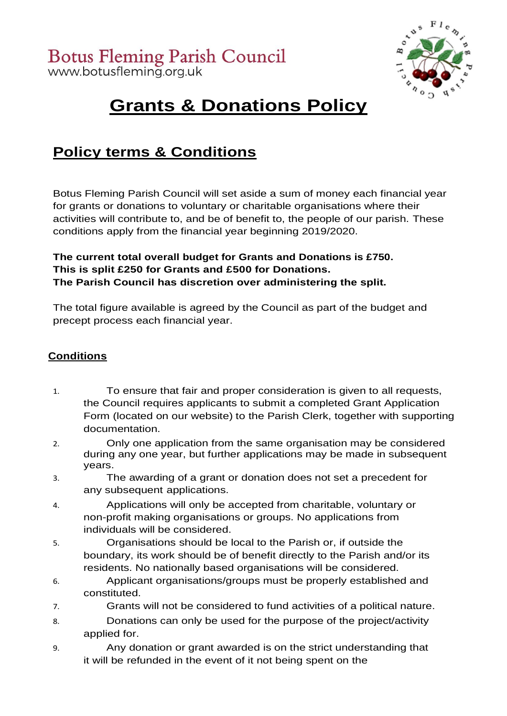

# **Grants & Donations Policy**

# **Policy terms & Conditions**

Botus Fleming Parish Council will set aside a sum of money each financial year for grants or donations to voluntary or charitable organisations where their activities will contribute to, and be of benefit to, the people of our parish. These conditions apply from the financial year beginning 2019/2020.

## **The current total overall budget for Grants and Donations is £750. This is split £250 for Grants and £500 for Donations. The Parish Council has discretion over administering the split.**

The total figure available is agreed by the Council as part of the budget and precept process each financial year.

# **Conditions**

- 1. To ensure that fair and proper consideration is given to all requests, the Council requires applicants to submit a completed Grant Application Form (located on our website) to the Parish Clerk, together with supporting documentation.
- 2. Only one application from the same organisation may be considered during any one year, but further applications may be made in subsequent years.
- 3. The awarding of a grant or donation does not set a precedent for any subsequent applications.
- 4. Applications will only be accepted from charitable, voluntary or non-profit making organisations or groups. No applications from individuals will be considered.
- 5. Organisations should be local to the Parish or, if outside the boundary, its work should be of benefit directly to the Parish and/or its residents. No nationally based organisations will be considered.
- 6. Applicant organisations/groups must be properly established and constituted.
- 7. Grants will not be considered to fund activities of a political nature.
- 8. Donations can only be used for the purpose of the project/activity applied for.
- 9. Any donation or grant awarded is on the strict understanding that it will be refunded in the event of it not being spent on the